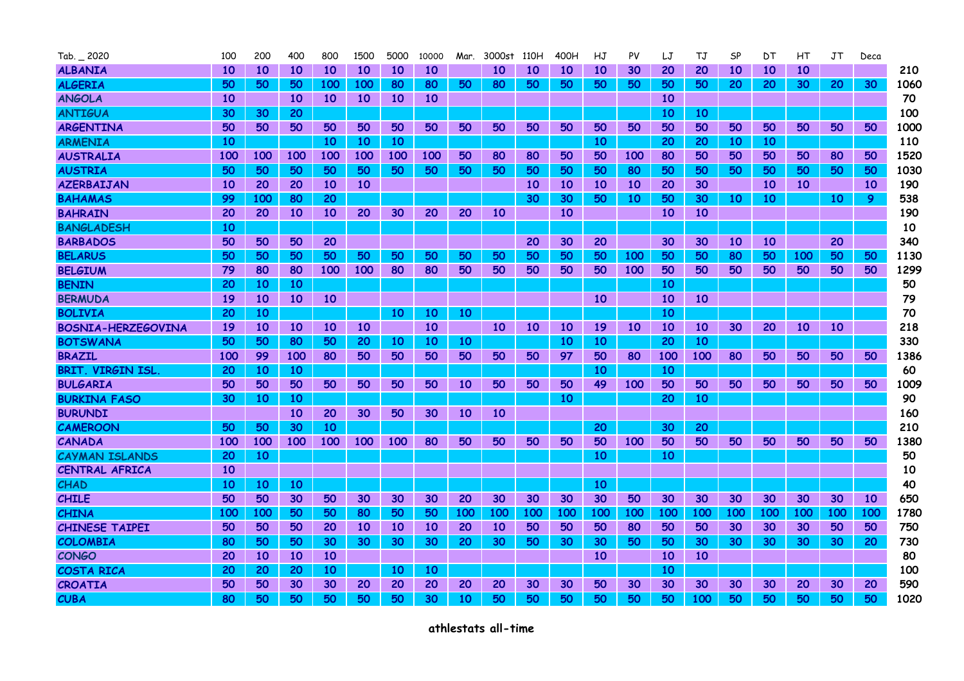| $Tab. = 2020$             | 100 | 200       | 400       | 800       | 1500      | 5000      | 10000 | Mar.      | 3000st | 110H | 400H | НJ  | PV         | LJ        | <b>TJ</b> | SP        | DT  | НT        | JT  | Deca |      |
|---------------------------|-----|-----------|-----------|-----------|-----------|-----------|-------|-----------|--------|------|------|-----|------------|-----------|-----------|-----------|-----|-----------|-----|------|------|
| <b>ALBANIA</b>            | 10  | <b>10</b> | 10        | 10        | 10        | 10        | 10    |           | 10     | 10   | 10   | 10  | 30         | 20        | 20        | 10        | 10  | 10        |     |      | 210  |
| <b>ALGERIA</b>            | 50  | 50        | 50        | 100       | 100       | 80        | 80    | 50        | 80     | 50   | 50   | 50  | 50         | 50        | 50        | 20        | 20  | 30        | 20  | 30   | 1060 |
| <b>ANGOLA</b>             | 10  |           | 10        | <b>10</b> | 10        | 10        | 10    |           |        |      |      |     |            | 10        |           |           |     |           |     |      | 70   |
| <b>ANTIGUA</b>            | 30  | 30        | 20        |           |           |           |       |           |        |      |      |     |            | <b>10</b> | 10        |           |     |           |     |      | 100  |
| <b>ARGENTINA</b>          | 50  | 50        | 50        | 50        | 50        | 50        | 50    | 50        | 50     | 50   | 50   | 50  | 50         | 50        | 50        | 50        | 50  | 50        | 50  | 50   | 1000 |
| <b>ARMENIA</b>            | 10  |           |           | 10        | 10        | <b>10</b> |       |           |        |      |      | 10  |            | 20        | 20        | 10        | 10  |           |     |      | 110  |
| <b>AUSTRALIA</b>          | 100 | 100       | 100       | 100       | 100       | 100       | 100   | 50        | 80     | 80   | 50   | 50  | 100        | 80        | 50        | 50        | 50  | 50        | 80  | 50   | 1520 |
| <b>AUSTRIA</b>            | 50  | 50        | 50        | 50        | 50        | 50        | 50    | 50        | 50     | 50   | 50   | 50  | 80         | 50        | 50        | 50        | 50  | 50        | 50  | 50   | 1030 |
| <b>AZERBAIJAN</b>         | 10  | 20        | 20        | 10        | <b>10</b> |           |       |           |        | 10   | 10   | 10  | 10         | 20        | 30        |           | 10  | 10        |     | 10   | 190  |
| <b>BAHAMAS</b>            | 99  | 100       | 80        | 20        |           |           |       |           |        | 30   | 30   | 50  | 10         | 50        | 30        | 10        | 10  |           | 10  | 9.   | 538  |
| <b>BAHRAIN</b>            | 20  | 20        | 10        | 10        | 20        | 30        | 20    | 20        | 10     |      | 10   |     |            | 10        | 10        |           |     |           |     |      | 190  |
| <b>BANGLADESH</b>         | 10  |           |           |           |           |           |       |           |        |      |      |     |            |           |           |           |     |           |     |      | 10   |
| <b>BARBADOS</b>           | 50  | 50        | 50        | 20        |           |           |       |           |        | 20   | 30   | 20  |            | 30        | 30        | <b>10</b> | 10  |           | 20  |      | 340  |
| <b>BELARUS</b>            | 50  | 50        | 50        | 50        | 50        | 50        | 50    | 50        | 50     | 50   | 50   | 50  | 100        | 50        | 50        | 80        | 50  | 100       | 50  | 50   | 1130 |
| <b>BELGIUM</b>            | 79  | 80        | 80        | 100       | 100       | 80        | 80    | 50        | 50     | 50   | 50   | 50  | <b>100</b> | 50        | 50        | 50        | 50  | 50        | 50  | 50   | 1299 |
| <b>BENIN</b>              | 20  | <b>10</b> | <b>10</b> |           |           |           |       |           |        |      |      |     |            | 10        |           |           |     |           |     |      | 50   |
| <b>BERMUDA</b>            | 19  | <b>10</b> | 10        | 10        |           |           |       |           |        |      |      | 10  |            | 10        | <b>10</b> |           |     |           |     |      | 79   |
| <b>BOLIVIA</b>            | 20  | 10        |           |           |           | 10        | 10    | 10        |        |      |      |     |            | 10        |           |           |     |           |     |      | 70   |
| <b>BOSNIA-HERZEGOVINA</b> | 19  | <b>10</b> | 10        | 10        | <b>10</b> |           | 10    |           | 10     | 10   | 10   | 19  | <b>10</b>  | <b>10</b> | 10        | 30        | 20  | <b>10</b> | 10  |      | 218  |
| <b>BOTSWANA</b>           | 50  | 50        | 80        | 50        | 20        | 10        | 10    | 10        |        |      | 10   | 10  |            | 20        | 10        |           |     |           |     |      | 330  |
| <b>BRAZIL</b>             | 100 | 99        | 100       | 80        | 50        | 50        | 50    | 50        | 50     | 50   | 97   | 50  | 80         | 100       | 100       | 80        | 50  | 50        | 50  | 50   | 1386 |
| <b>BRIT VIRGIN ISL</b>    | 20  | 10        | 10        |           |           |           |       |           |        |      |      | 10  |            | 10        |           |           |     |           |     |      | 60   |
| <b>BULGARIA</b>           | 50  | 50        | 50        | 50        | 50        | 50        | 50    | <b>10</b> | 50     | 50   | 50   | 49  | 100        | 50        | 50        | 50        | 50  | 50        | 50  | 50   | 1009 |
| <b>BURKINA FASO</b>       | 30  | <b>10</b> | 10        |           |           |           |       |           |        |      | 10   |     |            | 20        | 10        |           |     |           |     |      | 90   |
| <b>BURUNDI</b>            |     |           | 10        | 20        | 30        | 50        | 30    | 10        | 10     |      |      |     |            |           |           |           |     |           |     |      | 160  |
| <b>CAMEROON</b>           | 50  | 50        | 30        | 10        |           |           |       |           |        |      |      | 20  |            | 30        | 20        |           |     |           |     |      | 210  |
| <b>CANADA</b>             | 100 | 100       | 100       | 100       | 100       | 100       | 80    | 50        | 50     | 50   | 50   | 50  | 100        | 50        | 50        | 50        | 50  | 50        | 50  | 50   | 1380 |
| <b>CAYMAN ISLANDS</b>     | 20  | <b>10</b> |           |           |           |           |       |           |        |      |      | 10  |            | 10        |           |           |     |           |     |      | 50   |
| <b>CENTRAL AFRICA</b>     | 10  |           |           |           |           |           |       |           |        |      |      |     |            |           |           |           |     |           |     |      | 10   |
| <b>CHAD</b>               | 10  | <b>10</b> | 10        |           |           |           |       |           |        |      |      | 10  |            |           |           |           |     |           |     |      | 40   |
| <b>CHILE</b>              | 50  | 50        | 30        | 50        | 30        | 30        | 30    | 20        | 30     | 30   | 30   | 30  | 50         | 30        | 30        | 30        | 30  | 30        | 30  | 10   | 650  |
| <b>CHINA</b>              | 100 | 100       | 50        | 50        | 80        | 50        | 50    | 100       | 100    | 100  | 100  | 100 | 100        | 100       | 100       | 100       | 100 | 100       | 100 | 100  | 1780 |
| <b>CHINESE TAIPEI</b>     | 50  | 50        | 50        | 20        | 10        | 10        | 10    | 20        | 10     | 50   | 50   | 50  | 80         | 50        | 50        | 30        | 30  | 30        | 50  | 50   | 750  |
| <b>COLOMBIA</b>           | 80  | 50        | 50        | 30        | 30        | 30        | 30    | 20        | 30     | 50   | 30   | 30  | 50         | 50        | 30        | 30        | 30  | 30        | 30  | 20   | 730  |
| <b>CONGO</b>              | 20  | 10        | 10        | <b>10</b> |           |           |       |           |        |      |      | 10  |            | 10        | 10        |           |     |           |     |      | 80   |
| <b>COSTA RICA</b>         | 20  | 20        | 20        | 10        |           | 10        | 10    |           |        |      |      |     |            | <b>10</b> |           |           |     |           |     |      | 100  |
| <b>CROATIA</b>            | 50  | 50        | 30        | 30        | 20        | 20        | 20    | 20        | 20     | 30   | 30   | 50  | 30         | 30        | 30        | 30        | 30  | 20        | 30  | 20   | 590  |
| <b>CUBA</b>               | 80  | 50        | 50        | 50        | 50        | 50        | 30    | 10        | 50     | 50   | 50   | 50  | 50         | 50        | 100       | 50        | 50  | 50        | 50  | 50   | 1020 |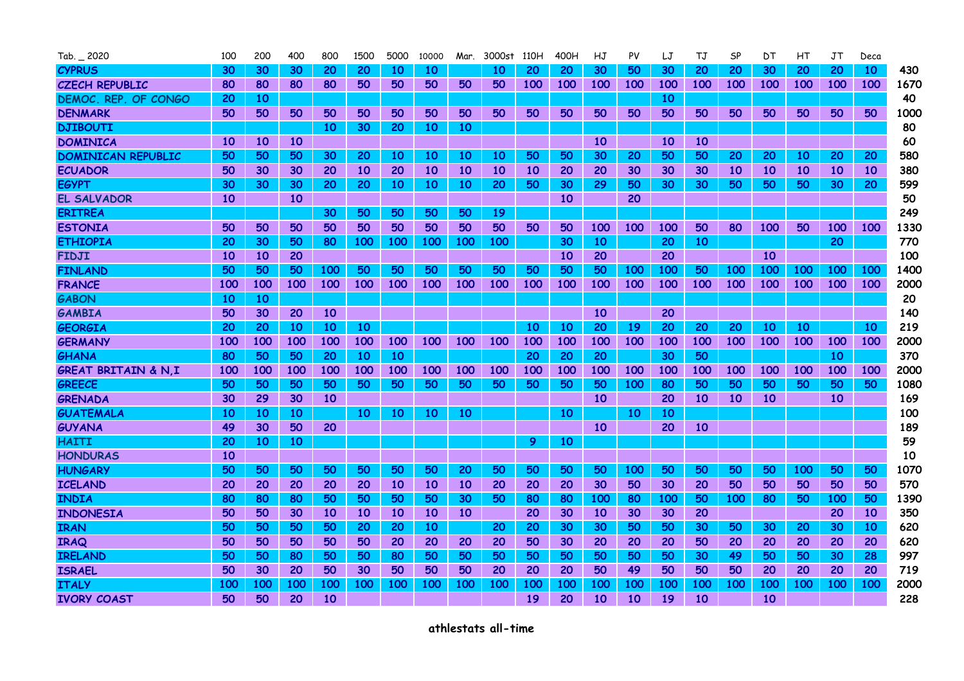| Tab. 2020                      | 100 | 200       | 400 | 800             | 1500      | 5000 | 10000     | Mar. | 3000st 110H |     | 400H            | HJ        | PV        | LJ  | ТJ        | <b>SP</b> | DТ  | НT  | JT         | Deca |      |
|--------------------------------|-----|-----------|-----|-----------------|-----------|------|-----------|------|-------------|-----|-----------------|-----------|-----------|-----|-----------|-----------|-----|-----|------------|------|------|
| <b>CYPRUS</b>                  | 30  | 30        | 30  | 20              | 20        | 10   | 10        |      | 10          | 20  | 20              | 30        | 50        | 30  | 20        | 20        | 30  | 20  | 20         | 10   | 430. |
| <b>CZECH REPUBLIC</b>          | 80  | 80        | 80  | 80              | 50        | 50   | 50        | 50   | 50          | 100 | 100             | 100       | 100       | 100 | 100       | 100       | 100 | 100 | 100        | 100  | 1670 |
| DEMOC. REP. OF CONGO           | 20  | 10        |     |                 |           |      |           |      |             |     |                 |           |           | 10  |           |           |     |     |            |      | 40   |
| <b>DENMARK</b>                 | 50  | 50        | 50  | 50              | 50        | 50   | 50        | 50   | 50          | 50  | 50              | 50        | 50        | 50  | 50        | 50        | 50  | 50  | 50         | 50   | 1000 |
| <b>DJIBOUTI</b>                |     |           |     | 10              | 30        | 20   | 10        | 10   |             |     |                 |           |           |     |           |           |     |     |            |      | 80   |
| <b>DOMINICA</b>                | 10  | 10        | 10  |                 |           |      |           |      |             |     |                 | <b>10</b> |           | 10  | <b>10</b> |           |     |     |            |      | 60   |
| <b>DOMINICAN REPUBLIC</b>      | 50  | 50        | 50  | 30              | 20        | 10   | 10        | 10   | 10          | 50  | 50              | 30        | 20        | 50  | 50        | 20        | 20  | 10  | 20         | 20   | 580  |
| <b>ECUADOR</b>                 | 50  | 30        | 30  | 20              | <b>10</b> | 20   | <b>10</b> | 10   | 10          | 10  | 20              | 20        | 30        | 30  | 30        | 10        | 10  | 10  | 10         | 10   | 380  |
| <b>EGYPT</b>                   | 30  | 30        | 30  | 20              | 20        | 10   | 10        | 10   | 20          | 50  | 30              | 29        | 50        | 30  | 30        | 50        | 50  | 50  | 30         | 20.  | 599  |
| EL SALVADOR                    | 10  |           | 10  |                 |           |      |           |      |             |     | 10              |           | 20        |     |           |           |     |     |            |      | 50   |
| <b>ERITREA</b>                 |     |           |     | 30              | 50        | 50   | 50        | 50   | 19          |     |                 |           |           |     |           |           |     |     |            |      | 249  |
| <b>ESTONIA</b>                 | 50  | 50        | 50  | 50              | 50        | 50   | 50        | 50   | 50          | 50  | 50              | 100       | 100       | 100 | 50        | 80        | 100 | 50  | 100        | 100  | 1330 |
| <b>ETHIOPIA</b>                | 20  | 30        | 50  | 80              | 100       | 100  | 100       | 100  | 100         |     | 30              | 10        |           | 20  | 10        |           |     |     | 20         |      | 770  |
| <b>FIDJI</b>                   | 10  | <b>10</b> | 20  |                 |           |      |           |      |             |     | 10              | 20        |           | 20  |           |           | 10  |     |            |      | 100  |
| <b>FINLAND</b>                 | 50  | 50        | 50  | 100             | 50        | 50   | 50        | 50   | 50          | 50  | 50              | 50        | 100       | 100 | 50        | 100       | 100 | 100 | <b>100</b> | 100  | 1400 |
| <b>FRANCE</b>                  | 100 | 100       | 100 | 100             | 100       | 100  | 100       | 100  | 100         | 100 | 100             | 100       | 100       | 100 | 100       | 100       | 100 | 100 | 100        | 100  | 2000 |
| <b>GABON</b>                   | 10  | <b>10</b> |     |                 |           |      |           |      |             |     |                 |           |           |     |           |           |     |     |            |      | 20   |
| <b>GAMBIA</b>                  | 50  | 30        | 20  | 10 <sup>°</sup> |           |      |           |      |             |     |                 | 10        |           | 20  |           |           |     |     |            |      | 140  |
| <b>GEORGIA</b>                 | 20  | 20        | 10  | 10              | 10        |      |           |      |             | 10  | 10              | 20        | <b>19</b> | 20  | 20        | 20        | 10  | 10  |            | 10   | 219  |
| <b>GERMANY</b>                 | 100 | 100       | 100 | 100             | 100       | 100  | 100       | 100  | 100         | 100 | 100             | 100       | 100       | 100 | 100       | 100       | 100 | 100 | 100        | 100  | 2000 |
| GHANA                          | 80  | 50        | 50  | 20              | 10        | 10   |           |      |             | 20  | 20              | 20        |           | 30  | 50        |           |     |     | 10         |      | 370  |
| <b>GREAT BRITAIN &amp; N.I</b> | 100 | 100       | 100 | 100             | 100       | 100  | 100       | 100  | 100         | 100 | 100             | 100       | 100       | 100 | 100       | 100       | 100 | 100 | 100        | 100  | 2000 |
| <b>GREECE</b>                  | 50  | 50        | 50  | 50              | 50        | 50   | 50        | 50   | 50          | 50  | 50              | 50        | 100       | 80  | 50        | 50        | 50  | 50  | 50         | 50   | 1080 |
| <b>GRENADA</b>                 | 30  | 29        | 30  | <b>10</b>       |           |      |           |      |             |     |                 | 10        |           | 20  | <b>10</b> | 10        | 10  |     | 10         |      | 169  |
| <b>GUATEMALA</b>               | 10  | <b>10</b> | 10  |                 | 10        | 10   | 10        | 10   |             |     | 10 <sup>°</sup> |           | 10        | 10  |           |           |     |     |            |      | 100  |
| <b>GUYANA</b>                  | 49  | 30        | 50  | 20              |           |      |           |      |             |     |                 | <b>10</b> |           | 20  | <b>10</b> |           |     |     |            |      | 189  |
| <b>HAITI</b>                   | 20  | <b>10</b> | 10  |                 |           |      |           |      |             | 9   | 10              |           |           |     |           |           |     |     |            |      | 59   |
| <b>HONDURAS</b>                | 10  |           |     |                 |           |      |           |      |             |     |                 |           |           |     |           |           |     |     |            |      | 10   |
| <b>HUNGARY</b>                 | 50  | 50        | 50  | 50              | 50        | 50   | 50        | 20   | 50          | 50  | 50              | 50        | 100       | 50  | 50        | 50        | 50  | 100 | 50         | 50   | 1070 |
| <b>ICELAND</b>                 | 20  | 20        | 20  | 20              | 20        | 10   | 10        | 10   | 20          | 20  | 20              | 30        | 50        | 30  | 20        | 50        | 50  | 50  | 50         | 50   | 570  |
| <b>INDIA</b>                   | 80  | 80        | 80  | 50              | 50        | 50   | 50        | 30   | 50          | 80  | 80              | 100       | 80        | 100 | 50        | 100       | 80  | 50  | 100        | 50   | 1390 |
| <b>INDONESIA</b>               | 50  | 50        | 30  | 10              | 10        | 10   | 10        | 10   |             | 20  | 30              | 10        | 30        | 30  | 20        |           |     |     | 20         | 10   | 350  |
| <b>IRAN</b>                    | 50  | 50        | 50  | 50              | 20        | 20   | 10        |      | 20          | 20  | 30              | 30        | 50        | 50  | 30        | 50        | 30  | 20  | 30         | 10   | 620  |
| <b>IRAQ</b>                    | 50  | 50        | 50  | 50              | 50        | 20   | 20        | 20   | 20          | 50  | 30              | 20        | 20        | 20  | 50        | 20        | 20  | 20  | 20         | 20   | 620  |
| <b>IRELAND</b>                 | 50  | 50        | 80  | 50              | 50        | 80   | 50        | 50   | 50          | 50  | 50              | 50        | 50        | 50  | 30        | 49        | 50  | 50  | 30         | 28   | 997  |
| <b>ISRAEL</b>                  | 50  | 30        | 20  | 50              | 30        | 50   | 50        | 50   | 20          | 20  | 20              | 50        | 49        | 50  | 50        | 50        | 20  | 20  | 20         | 20   | 719  |
| <b>ITALY</b>                   | 100 | 100       | 100 | 100             | 100       | 100  | 100       | 100  | 100         | 100 | 100             | 100       | 100       | 100 | 100       | 100       | 100 | 100 | 100        | 100  | 2000 |
| <b>IVORY COAST</b>             | 50  | 50        | 20  | 10              |           |      |           |      |             | 19  | 20              | 10        | 10        | 19  | 10        |           | 10  |     |            |      | 228  |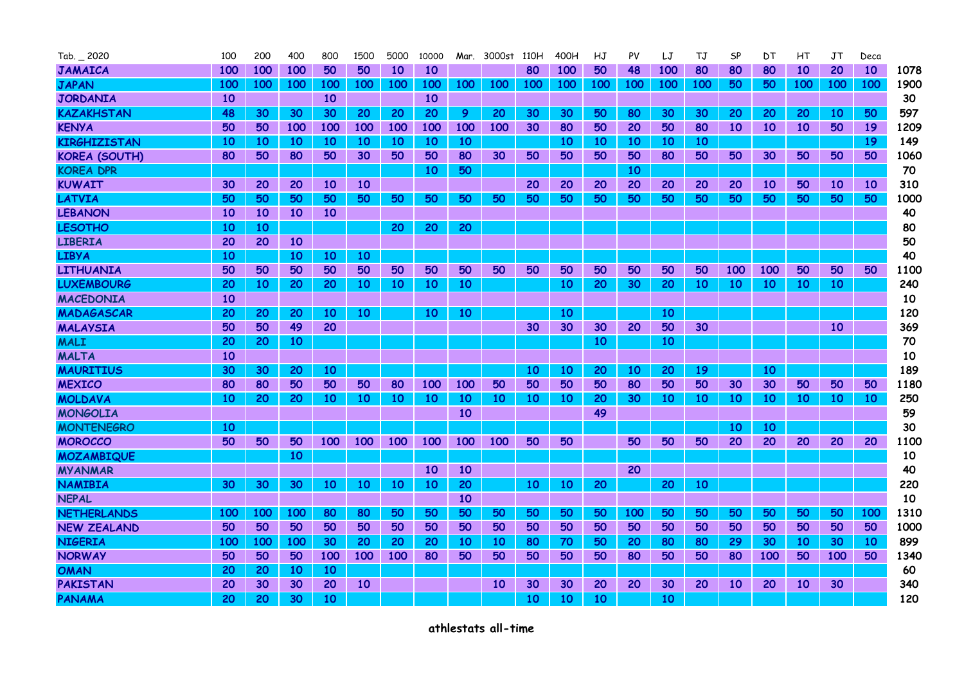| $Tab. = 2020$        | 100 | 200        | 400 | 800 | 1500      | 5000       | 10000     | Mar.       | 3000st | 110H       | 400H       | НJ  | PV         | LJ  | TJ  | SP  | DТ  | НT              | JT         | Deca |      |
|----------------------|-----|------------|-----|-----|-----------|------------|-----------|------------|--------|------------|------------|-----|------------|-----|-----|-----|-----|-----------------|------------|------|------|
| <b>JAMAICA</b>       | 100 | 100        | 100 | 50  | 50        | 10         | 10        |            |        | 80         | 100        | 50  | 48         | 100 | 80  | 80  | 80  | 10              | 20         | 10   | 1078 |
| <b>JAPAN</b>         | 100 | <b>100</b> | 100 | 100 | 100       | 100        | 100       | <b>100</b> | 100    | <b>100</b> | <b>100</b> | 100 | <b>100</b> | 100 | 100 | 50  | 50  | <b>100</b>      | <b>100</b> | 100  | 1900 |
| <b>JORDANIA</b>      | 10  |            |     | 10  |           |            | 10        |            |        |            |            |     |            |     |     |     |     |                 |            |      | 30   |
| <b>KAZAKHSTAN</b>    | 48  | 30         | 30  | 30  | 20        | 20         | 20        | 9          | 20     | 30         | 30         | 50  | 80         | 30  | 30  | 20  | 20  | 20              | 10         | 50   | 597  |
| <b>KENYA</b>         | 50  | 50         | 100 | 100 | 100       | 100        | 100       | 100        | 100    | 30         | 80         | 50  | 20         | 50  | 80  | 10  | 10  | 10 <sup>°</sup> | 50         | 19   | 1209 |
| <b>KIRGHIZISTAN</b>  | 10  | <b>10</b>  | 10  | 10  | 10        | 10         | 10        | 10         |        |            | 10         | 10  | 10         | 10  | 10  |     |     |                 |            | 19   | 149  |
| <b>KOREA (SOUTH)</b> | 80  | 50         | 80  | 50  | 30        | 50         | 50        | 80         | 30     | 50         | 50         | 50  | 50         | 80  | 50  | 50  | 30  | 50              | 50         | 50   | 1060 |
| <b>KOREA DPR</b>     |     |            |     |     |           |            | 10        | 50         |        |            |            |     | 10         |     |     |     |     |                 |            |      | 70   |
| <b>KUWAIT</b>        | 30  | 20         | 20  | 10  | 10        |            |           |            |        | 20         | 20         | 20  | 20         | 20  | 20  | 20  | 10  | 50              | 10         | 10   | 310  |
| <b>LATVIA</b>        | 50  | 50         | 50  | 50  | 50        | 50         | 50        | 50         | 50     | 50         | 50         | 50  | 50         | 50  | 50  | 50  | 50  | 50              | 50         | 50   | 1000 |
| <b>LEBANON</b>       | 10  | 10         | 10  | 10  |           |            |           |            |        |            |            |     |            |     |     |     |     |                 |            |      | 40   |
| <b>LESOTHO</b>       | 10  | 10         |     |     |           | 20         | 20        | 20         |        |            |            |     |            |     |     |     |     |                 |            |      | 80   |
| <b>LIBERIA</b>       | 20  | 20         | 10  |     |           |            |           |            |        |            |            |     |            |     |     |     |     |                 |            |      | 50   |
| <b>LIBYA</b>         | 10  |            | 10  | 10  | <b>10</b> |            |           |            |        |            |            |     |            |     |     |     |     |                 |            |      | 40   |
| <b>LITHUANIA</b>     | 50  | 50         | 50  | 50  | 50        | 50         | 50        | 50         | 50     | 50         | 50         | 50  | 50         | 50  | 50  | 100 | 100 | 50              | 50         | 50   | 1100 |
| <b>LUXEMBOURG</b>    | 20  | <b>10</b>  | 20  | 20  | 10        | 10         | 10        | 10         |        |            | 10         | 20  | 30         | 20  | 10  | 10  | 10  | 10              | 10         |      | 240  |
| <b>MACEDONIA</b>     | 10  |            |     |     |           |            |           |            |        |            |            |     |            |     |     |     |     |                 |            |      | 10   |
| MADAGASCAR           | 20  | 20         | 20  | 10  | 10        |            | 10        | 10         |        |            | 10         |     |            | 10  |     |     |     |                 |            |      | 120  |
| <b>MALAYSIA</b>      | 50  | 50         | 49  | 20  |           |            |           |            |        | 30         | 30         | 30  | 20         | 50  | 30  |     |     |                 | 10         |      | 369  |
| <b>MALI</b>          | 20  | 20         | 10  |     |           |            |           |            |        |            |            | 10  |            | 10  |     |     |     |                 |            |      | 70   |
| <b>MALTA</b>         | 10  |            |     |     |           |            |           |            |        |            |            |     |            |     |     |     |     |                 |            |      | 10   |
| <b>MAURITIUS</b>     | 30  | 30         | 20  | 10  |           |            |           |            |        | 10         | 10         | 20  | <b>10</b>  | 20  | 19  |     | 10  |                 |            |      | 189  |
| <b>MEXICO</b>        | 80  | 80         | 50  | 50  | 50        | 80         | 100       | 100        | 50     | 50         | 50         | 50  | 80         | 50  | 50  | 30  | 30  | 50              | 50         | 50   | 1180 |
| <b>MOLDAVA</b>       | 10  | 20         | 20  | 10  | <b>10</b> | 10         | 10        | 10         | 10     | 10         | 10         | 20  | 30         | 10  | 10  | 10  | 10  | 10              | 10         | 10   | 250  |
| <b>MONGOLIA</b>      |     |            |     |     |           |            |           | 10         |        |            |            | 49  |            |     |     |     |     |                 |            |      | 59   |
| <b>MONTENEGRO</b>    | 10  |            |     |     |           |            |           |            |        |            |            |     |            |     |     | 10  | 10  |                 |            |      | 30   |
| <b>MOROCCO</b>       | 50  | 50         | 50  | 100 | 100       | <b>100</b> | 100       | 100        | 100    | 50         | 50         |     | 50         | 50  | 50  | 20  | 20  | 20              | 20         | 20   | 1100 |
| <b>MOZAMBIQUE</b>    |     |            | 10  |     |           |            |           |            |        |            |            |     |            |     |     |     |     |                 |            |      | 10   |
| <b>MYANMAR</b>       |     |            |     |     |           |            | 10        | 10         |        |            |            |     | 20         |     |     |     |     |                 |            |      | 40   |
| <b>NAMIBIA</b>       | 30  | 30         | 30  | 10  | <b>10</b> | 10         | <b>10</b> | 20         |        | 10         | 10         | 20  |            | 20  | 10  |     |     |                 |            |      | 220  |
| <b>NEPAL</b>         |     |            |     |     |           |            |           | 10         |        |            |            |     |            |     |     |     |     |                 |            |      | 10   |
| <b>NETHERLANDS</b>   | 100 | 100        | 100 | 80  | 80        | 50         | 50        | 50         | 50     | 50         | 50         | 50  | 100        | 50  | 50  | 50  | 50  | 50              | 50         | 100  | 1310 |
| <b>NEW ZEALAND</b>   | 50  | 50         | 50  | 50  | 50        | 50         | 50        | 50         | 50     | 50         | 50         | 50  | 50         | 50  | 50  | 50  | 50  | 50              | 50         | 50   | 1000 |
| <b>NIGERIA</b>       | 100 | 100        | 100 | 30  | 20        | 20         | 20        | 10         | 10     | 80         | 70         | 50  | 20         | 80  | 80  | 29  | 30  | 10              | 30         | 10   | 899  |
| <b>NORWAY</b>        | 50  | 50         | 50  | 100 | 100       | 100        | 80        | 50         | 50     | 50         | 50         | 50  | 80         | 50  | 50  | 80  | 100 | 50              | 100        | 50   | 1340 |
| <b>OMAN</b>          | 20  | 20         | 10  | 10  |           |            |           |            |        |            |            |     |            |     |     |     |     |                 |            |      | 60   |
| <b>PAKISTAN</b>      | 20  | 30         | 30  | 20  | <b>10</b> |            |           |            | 10     | 30         | 30         | 20  | 20         | 30  | 20  | 10  | 20  | 10              | 30         |      | 340  |
| <b>PANAMA</b>        | 20  | 20         | 30  | 10  |           |            |           |            |        | 10         | 10         | 10  |            | 10  |     |     |     |                 |            |      | 120  |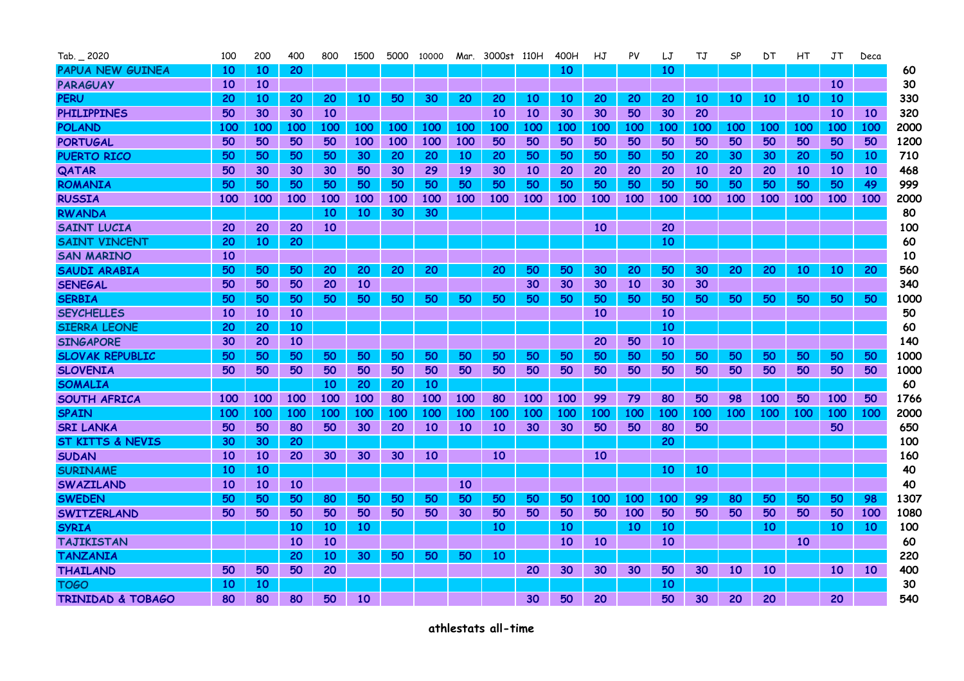| $Tab. = 2020$                | 100        | 200       | 400       | 800        | 1500      |     | 5000 10000      |     | Mar. 3000st 110H |            | 400H | HJ  | PV         | LJ        | ТJ  | SP        | DТ         | НT         | JΤ         | Deca |      |
|------------------------------|------------|-----------|-----------|------------|-----------|-----|-----------------|-----|------------------|------------|------|-----|------------|-----------|-----|-----------|------------|------------|------------|------|------|
| <b>PAPUA NEW GUINEA</b>      | 10         | <b>10</b> | 20        |            |           |     |                 |     |                  |            | 10   |     |            | 10        |     |           |            |            |            |      | 60   |
| <b>PARAGUAY</b>              | <b>10</b>  | <b>10</b> |           |            |           |     |                 |     |                  |            |      |     |            |           |     |           |            |            | 10         |      | 30   |
| <b>PERU</b>                  | 20         | 10        | 20        | 20         | <b>10</b> | 50  | 30              | 20  | 20               | 10         | 10   | 20  | 20         | 20        | 10  | 10        | 10         | 10         | 10         |      | 330  |
| <b>PHILIPPINES</b>           | 50         | 30        | 30        | <b>10</b>  |           |     |                 |     | 10               | <b>10</b>  | 30   | 30  | 50         | 30        | 20  |           |            |            | 10         | 10   | 320  |
| <b>POLAND</b>                | 100        | 100       | 100       | 100        | 100       | 100 | 100             | 100 | 100              | 100        | 100  | 100 | 100        | 100       | 100 | 100       | 100        | 100        | 100        | 100  | 2000 |
| <b>PORTUGAL</b>              | 50         | 50        | 50        | 50         | 100       | 100 | 100             | 100 | 50               | 50         | 50   | 50  | 50         | 50        | 50  | 50        | 50         | 50         | 50         | 50   | 1200 |
| <b>PUERTO RICO</b>           | 50         | 50        | 50        | 50         | 30        | 20  | 20              | 10  | 20               | 50         | 50   | 50  | 50         | 50        | 20  | 30        | 30         | 20         | 50         | 10   | 710  |
| QATAR                        | 50         | 30        | 30        | 30         | 50        | 30  | 29              | 19  | 30               | 10         | 20   | 20  | 20         | 20        | 10  | 20        | 20         | 10         | 10         | 10   | 468  |
| <b>ROMANIA</b>               | 50         | 50        | 50        | 50         | 50        | 50  | 50              | 50  | 50               | 50         | 50   | 50  | 50         | 50        | 50  | 50        | 50         | 50         | 50         | 49   | 999  |
| <b>RUSSIA</b>                | 100        | 100       | 100       | 100        | 100       | 100 | 100             | 100 | 100              | 100        | 100  | 100 | 100        | 100       | 100 | 100       | 100        | 100        | 100        | 100  | 2000 |
| <b>RWANDA</b>                |            |           |           | 10         | 10        | 30  | 30              |     |                  |            |      |     |            |           |     |           |            |            |            |      | 80   |
| <b>SAINT LUCIA</b>           | 20         | 20        | 20        | <b>10</b>  |           |     |                 |     |                  |            |      | 10  |            | 20        |     |           |            |            |            |      | 100  |
| <b>SAINT VINCENT</b>         | 20         | <b>10</b> | 20        |            |           |     |                 |     |                  |            |      |     |            | 10        |     |           |            |            |            |      | 60   |
| <b>SAN MARINO</b>            | 10         |           |           |            |           |     |                 |     |                  |            |      |     |            |           |     |           |            |            |            |      | 10   |
| <b>SAUDI ARABIA</b>          | 50         | 50        | 50        | 20         | 20        | 20  | 20              |     | 20               | 50         | 50   | 30  | 20         | 50        | 30  | 20        | 20         | 10         | 10         | 20   | 560  |
| <b>SENEGAL</b>               | 50         | 50        | 50        | 20         | 10        |     |                 |     |                  | 30         | 30   | 30  | <b>10</b>  | 30        | 30  |           |            |            |            |      | 340  |
| <b>SERBIA</b>                | 50         | 50        | 50        | 50         | 50        | 50  | 50              | 50  | 50               | 50         | 50   | 50  | 50         | 50        | 50  | 50        | 50         | 50         | 50         | 50   | 1000 |
| <b>SEYCHELLES</b>            | 10         | 10        | <b>10</b> |            |           |     |                 |     |                  |            |      | 10  |            | 10        |     |           |            |            |            |      | 50   |
| <b>SIERRA LEONE</b>          | 20         | 20        | 10        |            |           |     |                 |     |                  |            |      |     |            | <b>10</b> |     |           |            |            |            |      | 60   |
| <b>SINGAPORE</b>             | 30         | 20        | 10        |            |           |     |                 |     |                  |            |      | 20  | 50         | 10        |     |           |            |            |            |      | 140  |
| <b>SLOVAK REPUBLIC</b>       | 50         | 50        | 50        | 50         | 50        | 50  | 50              | 50  | 50               | 50         | 50   | 50  | 50         | 50        | 50  | 50        | 50         | 50         | 50         | 50   | 1000 |
| <b>SLOVENIA</b>              | 50         | 50        | 50        | 50         | 50        | 50  | 50              | 50  | 50               | 50         | 50   | 50  | 50         | 50        | 50  | 50        | 50         | 50         | 50         | 50   | 1000 |
| <b>SOMALIA</b>               |            |           |           | 10         | 20        | 20  | 10 <sup>°</sup> |     |                  |            |      |     |            |           |     |           |            |            |            |      | 60   |
| SOUTH AFRICA                 | 100        | 100       | 100       | 100        | 100       | 80  | 100             | 100 | 80               | <b>100</b> | 100  | 99  | 79         | 80        | 50  | 98        | 100        | 50         | 100        | 50   | 1766 |
| <b>SPAIN</b>                 | <b>100</b> | 100       | 100       | <b>100</b> | 100       | 100 | <b>100</b>      | 100 | 100              | <b>100</b> | 100  | 100 | <b>100</b> | 100       | 100 | 100       | <b>100</b> | <b>100</b> | <b>100</b> | 100  | 2000 |
| <b>SRI LANKA</b>             | 50         | 50        | 80        | 50         | 30        | 20  | <b>10</b>       | 10  | 10               | 30         | 30   | 50  | 50         | 80        | 50  |           |            |            | 50         |      | 650  |
| <b>ST KITTS &amp; NEVIS</b>  | 30         | 30        | 20        |            |           |     |                 |     |                  |            |      |     |            | 20        |     |           |            |            |            |      | 100  |
| <b>SUDAN</b>                 | <b>10</b>  | <b>10</b> | 20        | 30         | 30        | 30  | <b>10</b>       |     | 10               |            |      | 10  |            |           |     |           |            |            |            |      | 160  |
| <b>SURINAME</b>              | 10         | <b>10</b> |           |            |           |     |                 |     |                  |            |      |     |            | 10        | 10  |           |            |            |            |      | 40   |
| <b>SWAZILAND</b>             | 10         | <b>10</b> | 10        |            |           |     |                 | 10  |                  |            |      |     |            |           |     |           |            |            |            |      | 40   |
| <b>SWEDEN</b>                | 50         | 50        | 50        | 80         | 50        | 50  | 50              | 50  | 50               | 50         | 50   | 100 | <b>100</b> | 100       | 99  | 80        | 50         | 50         | 50         | 98   | 1307 |
| <b>SWITZERLAND</b>           | 50         | 50        | 50        | 50         | 50        | 50  | 50              | 30  | 50               | 50         | 50   | 50  | 100        | 50        | 50  | 50        | 50         | 50         | 50         | 100  | 1080 |
| <b>SYRIA</b>                 |            |           | 10        | 10         | 10        |     |                 |     | 10               |            | 10   |     | 10         | 10        |     |           | 10         |            | 10         | 10   | 100  |
| <b>TAJIKISTAN</b>            |            |           | 10        | <b>10</b>  |           |     |                 |     |                  |            | 10   | 10  |            | 10        |     |           |            | 10         |            |      | 60   |
| <b>TANZANIA</b>              |            |           | 20        | 10         | 30        | 50  | 50              | 50  | 10               |            |      |     |            |           |     |           |            |            |            |      | 220  |
| <b>THAILAND</b>              | 50         | 50        | 50        | 20         |           |     |                 |     |                  | 20         | 30   | 30  | 30         | 50        | 30  | <b>10</b> | <b>10</b>  |            | 10         | 10   | 400  |
| <b>TOGO</b>                  | 10         | 10        |           |            |           |     |                 |     |                  |            |      |     |            | 10        |     |           |            |            |            |      | 30   |
| <b>TRINIDAD &amp; TOBAGO</b> | 80         | 80        | 80        | 50         | 10        |     |                 |     |                  | 30         | 50   | 20  |            | 50        | 30  | 20        | 20         |            | 20         |      | 540  |